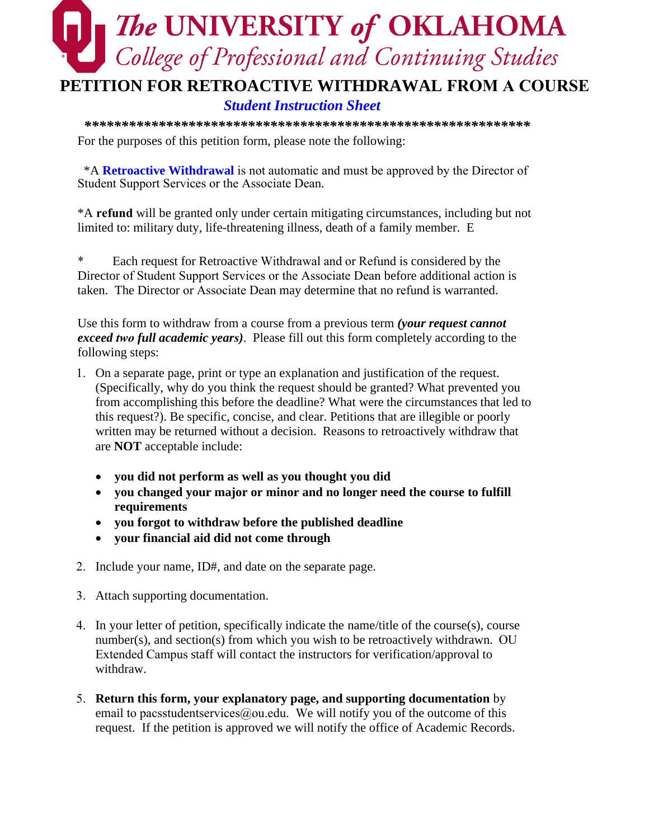## **The UNIVERSITY of OKLAHOMA**<br>College of Professional and Continuing Studies **PETITION FOR RETROACTIVE WITHDRAWAL FROM A COURSE**

## *Student Instruction Sheet*

*\*\*\*\*\*\*\*\*\*\*\*\*\*\*\*\*\*\*\*\*\*\*\*\*\*\*\*\*\*\*\*\*\*\*\*\*\*\*\*\*\*\*\*\*\*\*\*\*\*\*\*\*\*\*\*\*\*\*\*\** For the purposes of this petition form, please note the following:

\*A **Retroactive Withdrawal** is not automatic and must be approved by the Director of Student Support Services or the Associate Dean.

\*A **refund** will be granted only under certain mitigating circumstances, including but not limited to: military duty, life-threatening illness, death of a family member. E

Each request for Retroactive Withdrawal and or Refund is considered by the Director of Student Support Services or the Associate Dean before additional action is taken. The Director or Associate Dean may determine that no refund is warranted.

Use this form to withdraw from a course from a previous term *(your request cannot exceed two full academic years)*. Please fill out this form completely according to the following steps:

- 1. On a separate page, print or type an explanation and justification of the request. (Specifically, why do you think the request should be granted? What prevented you from accomplishing this before the deadline? What were the circumstances that led to this request?). Be specific, concise, and clear. Petitions that are illegible or poorly written may be returned without a decision. Reasons to retroactively withdraw that are **NOT** acceptable include:
	- **you did not perform as well as you thought you did**
	- **you changed your major or minor and no longer need the course to fulfill requirements**
	- **you forgot to withdraw before the published deadline**
	- **your financial aid did not come through**
- 2. Include your name, ID#, and date on the separate page.
- 3. Attach supporting documentation.
- 4. In your letter of petition, specifically indicate the name/title of the course(s), course number(s), and section(s) from which you wish to be retroactively withdrawn. OU Extended Campus staff will contact the instructors for verification/approval to withdraw.
- 5. **Return this form, your explanatory page, and supporting documentation** by email to pacsstudentservices@ou.edu. We will notify you of the outcome of this request. If the petition is approved we will notify the office of Academic Records.